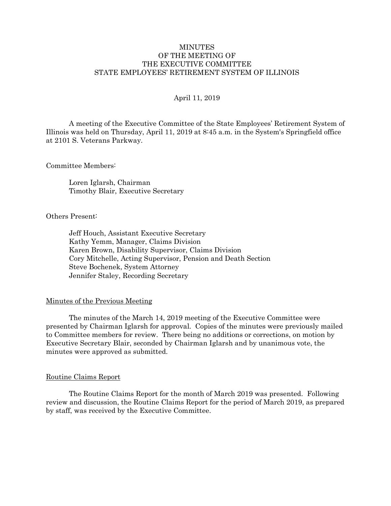## **MINUTES** OF THE MEETING OF THE EXECUTIVE COMMITTEE STATE EMPLOYEES' RETIREMENT SYSTEM OF ILLINOIS

### April 11, 2019

A meeting of the Executive Committee of the State Employees' Retirement System of Illinois was held on Thursday, April 11, 2019 at 8:45 a.m. in the System's Springfield office at 2101 S. Veterans Parkway.

Committee Members:

Loren Iglarsh, Chairman Timothy Blair, Executive Secretary

Others Present:

Jeff Houch, Assistant Executive Secretary Kathy Yemm, Manager, Claims Division Karen Brown, Disability Supervisor, Claims Division Cory Mitchelle, Acting Supervisor, Pension and Death Section Steve Bochenek, System Attorney Jennifer Staley, Recording Secretary

#### Minutes of the Previous Meeting

The minutes of the March 14, 2019 meeting of the Executive Committee were presented by Chairman Iglarsh for approval. Copies of the minutes were previously mailed to Committee members for review. There being no additions or corrections, on motion by Executive Secretary Blair, seconded by Chairman Iglarsh and by unanimous vote, the minutes were approved as submitted.

#### Routine Claims Report

The Routine Claims Report for the month of March 2019 was presented. Following review and discussion, the Routine Claims Report for the period of March 2019, as prepared by staff, was received by the Executive Committee.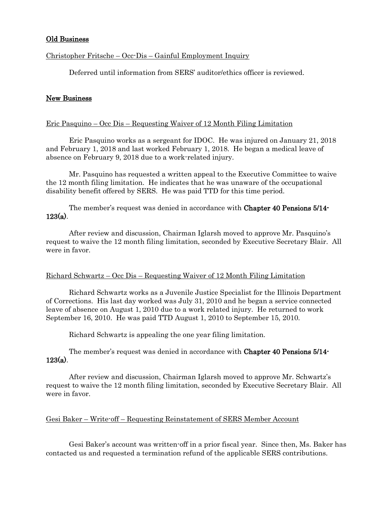## Old Business

## Christopher Fritsche – Occ-Dis – Gainful Employment Inquiry

Deferred until information from SERS' auditor/ethics officer is reviewed.

## New Business

### Eric Pasquino – Occ Dis – Requesting Waiver of 12 Month Filing Limitation

Eric Pasquino works as a sergeant for IDOC. He was injured on January 21, 2018 and February 1, 2018 and last worked February 1, 2018. He began a medical leave of absence on February 9, 2018 due to a work-related injury.

Mr. Pasquino has requested a written appeal to the Executive Committee to waive the 12 month filing limitation. He indicates that he was unaware of the occupational disability benefit offered by SERS. He was paid TTD for this time period.

The member's request was denied in accordance with Chapter 40 Pensions 5/14- 123(a).

After review and discussion, Chairman Iglarsh moved to approve Mr. Pasquino's request to waive the 12 month filing limitation, seconded by Executive Secretary Blair. All were in favor.

#### Richard Schwartz – Occ Dis – Requesting Waiver of 12 Month Filing Limitation

Richard Schwartz works as a Juvenile Justice Specialist for the Illinois Department of Corrections. His last day worked was July 31, 2010 and he began a service connected leave of absence on August 1, 2010 due to a work related injury. He returned to work September 16, 2010. He was paid TTD August 1, 2010 to September 15, 2010.

Richard Schwartz is appealing the one year filing limitation.

The member's request was denied in accordance with Chapter 40 Pensions 5/14-  $123(a)$ .

After review and discussion, Chairman Iglarsh moved to approve Mr. Schwartz's request to waive the 12 month filing limitation, seconded by Executive Secretary Blair. All were in favor.

#### Gesi Baker – Write-off – Requesting Reinstatement of SERS Member Account

Gesi Baker's account was written-off in a prior fiscal year. Since then, Ms. Baker has contacted us and requested a termination refund of the applicable SERS contributions.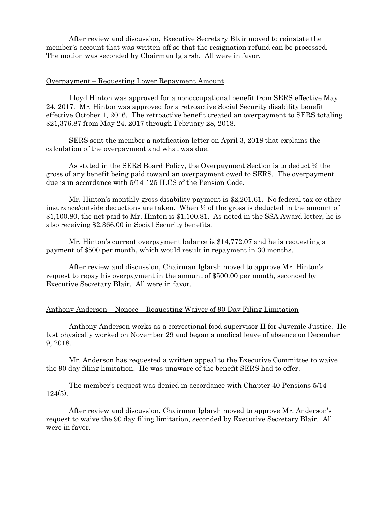After review and discussion, Executive Secretary Blair moved to reinstate the member's account that was written-off so that the resignation refund can be processed. The motion was seconded by Chairman Iglarsh. All were in favor.

#### Overpayment – Requesting Lower Repayment Amount

Lloyd Hinton was approved for a nonoccupational benefit from SERS effective May 24, 2017. Mr. Hinton was approved for a retroactive Social Security disability benefit effective October 1, 2016. The retroactive benefit created an overpayment to SERS totaling \$21,376.87 from May 24, 2017 through February 28, 2018.

SERS sent the member a notification letter on April 3, 2018 that explains the calculation of the overpayment and what was due.

As stated in the SERS Board Policy, the Overpayment Section is to deduct ½ the gross of any benefit being paid toward an overpayment owed to SERS. The overpayment due is in accordance with 5/14-125 ILCS of the Pension Code.

Mr. Hinton's monthly gross disability payment is \$2,201.61. No federal tax or other insurance/outside deductions are taken. When  $\frac{1}{2}$  of the gross is deducted in the amount of \$1,100.80, the net paid to Mr. Hinton is \$1,100.81. As noted in the SSA Award letter, he is also receiving \$2,366.00 in Social Security benefits.

Mr. Hinton's current overpayment balance is \$14,772.07 and he is requesting a payment of \$500 per month, which would result in repayment in 30 months.

After review and discussion, Chairman Iglarsh moved to approve Mr. Hinton's request to repay his overpayment in the amount of \$500.00 per month, seconded by Executive Secretary Blair. All were in favor.

### Anthony Anderson – Nonocc – Requesting Waiver of 90 Day Filing Limitation

Anthony Anderson works as a correctional food supervisor II for Juvenile Justice. He last physically worked on November 29 and began a medical leave of absence on December 9, 2018.

Mr. Anderson has requested a written appeal to the Executive Committee to waive the 90 day filing limitation. He was unaware of the benefit SERS had to offer.

The member's request was denied in accordance with Chapter 40 Pensions 5/14- 124(5).

After review and discussion, Chairman Iglarsh moved to approve Mr. Anderson's request to waive the 90 day filing limitation, seconded by Executive Secretary Blair. All were in favor.